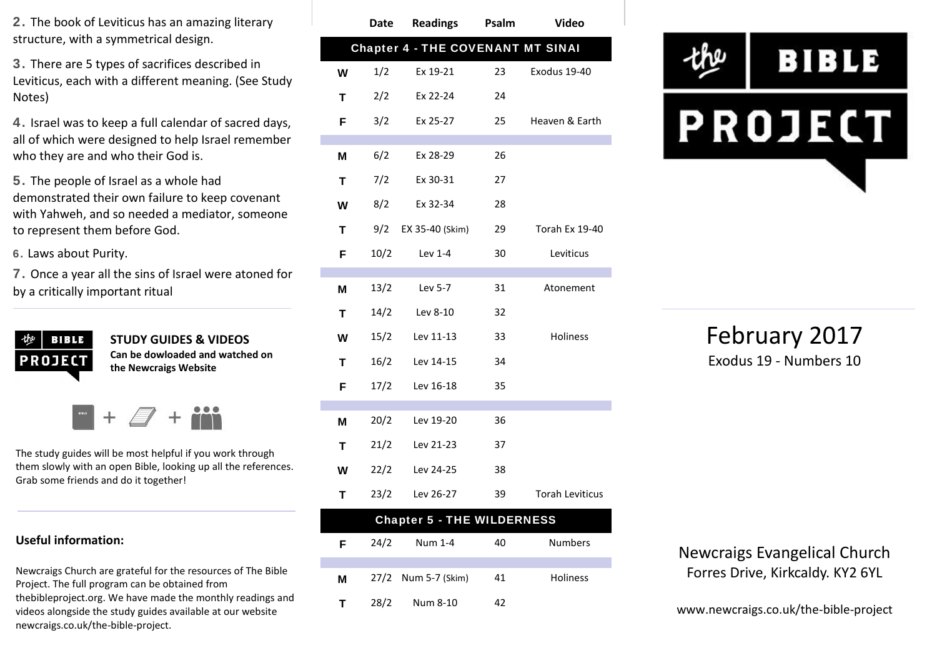**2.** The book of Leviticus has an amazing literary structure, with a symmetrical design.

**3.** There are 5 types of sacrifices described in Leviticus, each with a different meaning. (See Study Notes)

**4.** Israel was to keep a full calendar of sacred days, all of which were designed to help Israel remember who they are and who their God is.

**5.** The people of Israel as a whole had demonstrated their own failure to keep covenant with Yahweh, and so needed a mediator, someone to represent them before God.

**6.** Laws about Purity.

**7.** Once a year all the sins of Israel were atoned for by a critically important ritual



**STUDY GUIDES & VIDEOS Can be dowloaded and watched on the Newcraigs Website**

The study guides will be most helpful if you work through them slowly with an open Bible, looking up all the references. Grab some friends and do it together!

#### **Useful information:**

Newcraigs Church are grateful for the resources of The Bible Project. The full program can be obtained from thebibleproject.org. We have made the monthly readings and videos alongside the study guides available at our website newcraigs.co.uk/the-bible-project.

|   | <b>Date</b> | <b>Readings</b>                          | Psalm | <b>Video</b>           |
|---|-------------|------------------------------------------|-------|------------------------|
|   |             | <b>Chapter 4 - THE COVENANT MT SINAI</b> |       |                        |
| W | 1/2         | Ex 19-21                                 | 23    | Exodus 19-40           |
| T | 2/2         | Ex 22-24                                 | 24    |                        |
| F | 3/2         | Ex 25-27                                 | 25    | Heaven & Earth         |
| M | 6/2         | Ex 28-29                                 | 26    |                        |
|   |             |                                          |       |                        |
| T | 7/2         | Ex 30-31                                 | 27    |                        |
| W | 8/2         | Ex 32-34                                 | 28    |                        |
| т | 9/2         | EX 35-40 (Skim)                          | 29    | <b>Torah Ex 19-40</b>  |
| F | 10/2        | Lev 1-4                                  | 30    | Leviticus              |
|   |             |                                          |       |                        |
| M | 13/2        | Lev 5-7                                  | 31    | Atonement              |
| T | 14/2        | Lev 8-10                                 | 32    |                        |
| W | 15/2        | Lev 11-13                                | 33    | Holiness               |
| т | 16/2        | Lev 14-15                                | 34    |                        |
| F | 17/2        | Lev 16-18                                | 35    |                        |
| M | 20/2        | Lev 19-20                                | 36    |                        |
| T | 21/2        | Lev 21-23                                | 37    |                        |
| W | 22/2        | Lev 24-25                                | 38    |                        |
| T | 23/2        | Lev 26-27                                | 39    | <b>Torah Leviticus</b> |

| <b>Chapter 5 - THE WILDERNESS</b> |      |                     |    |                 |  |  |  |
|-----------------------------------|------|---------------------|----|-----------------|--|--|--|
| F                                 | 24/2 | Num 1-4             | 40 | <b>Numbers</b>  |  |  |  |
|                                   |      |                     |    |                 |  |  |  |
| м                                 |      | 27/2 Num 5-7 (Skim) | 41 | <b>Holiness</b> |  |  |  |
| т                                 | 28/2 | Num 8-10            | 42 |                 |  |  |  |



February 2017 Exodus 19 - Numbers 10

Newcraigs Evangelical Church Forres Drive, Kirkcaldy. KY2 6YL

www.newcraigs.co.uk/the-bible-project